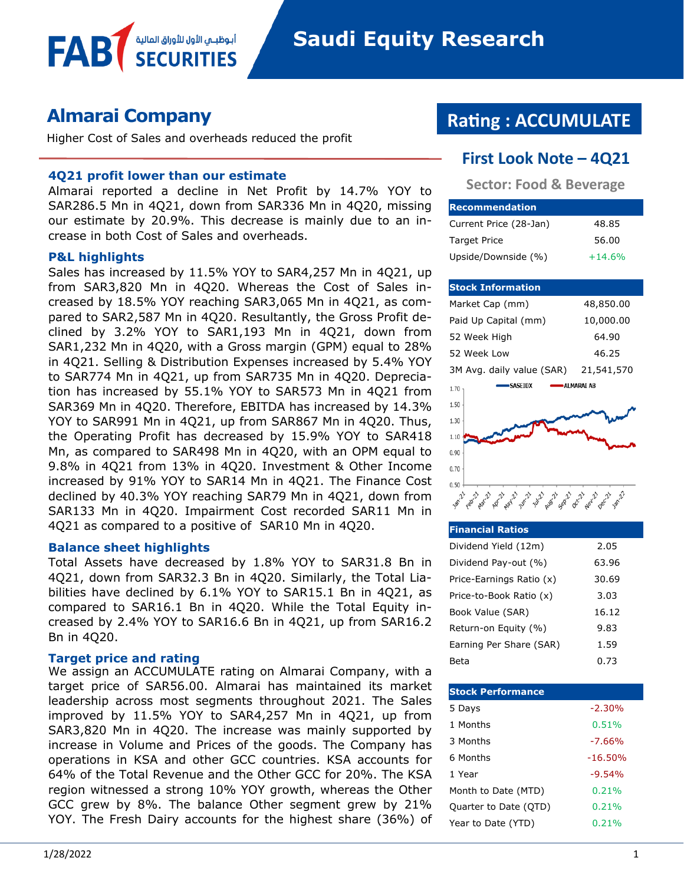### **Almarai Company**

Higher Cost of Sales and overheads reduced the profit

أبوظبــمي الأول للأوراق المالا

#### **4Q21 profit lower than our estimate**

Almarai reported a decline in Net Profit by 14.7% YOY to SAR286.5 Mn in 4Q21, down from SAR336 Mn in 4Q20, missing our estimate by 20.9%. This decrease is mainly due to an increase in both Cost of Sales and overheads.

#### **P&L highlights**

**FAB** 

Sales has increased by 11.5% YOY to SAR4,257 Mn in 4Q21, up from SAR3,820 Mn in 4Q20. Whereas the Cost of Sales increased by 18.5% YOY reaching SAR3,065 Mn in 4Q21, as compared to SAR2,587 Mn in 4Q20. Resultantly, the Gross Profit declined by 3.2% YOY to SAR1,193 Mn in 4Q21, down from SAR1,232 Mn in 4Q20, with a Gross margin (GPM) equal to 28% in 4Q21. Selling & Distribution Expenses increased by 5.4% YOY to SAR774 Mn in 4Q21, up from SAR735 Mn in 4Q20. Depreciation has increased by 55.1% YOY to SAR573 Mn in 4Q21 from SAR369 Mn in 4Q20. Therefore, EBITDA has increased by 14.3% YOY to SAR991 Mn in 4Q21, up from SAR867 Mn in 4Q20. Thus, the Operating Profit has decreased by 15.9% YOY to SAR418 Mn, as compared to SAR498 Mn in 4Q20, with an OPM equal to 9.8% in 4Q21 from 13% in 4Q20. Investment & Other Income increased by 91% YOY to SAR14 Mn in 4Q21. The Finance Cost declined by 40.3% YOY reaching SAR79 Mn in 4Q21, down from SAR133 Mn in 4Q20. Impairment Cost recorded SAR11 Mn in 4Q21 as compared to a positive of SAR10 Mn in 4Q20.

#### **Balance sheet highlights**

Total Assets have decreased by 1.8% YOY to SAR31.8 Bn in 4Q21, down from SAR32.3 Bn in 4Q20. Similarly, the Total Liabilities have declined by 6.1% YOY to SAR15.1 Bn in 4Q21, as compared to SAR16.1 Bn in 4Q20. While the Total Equity increased by 2.4% YOY to SAR16.6 Bn in 4Q21, up from SAR16.2 Bn in 4Q20.

#### **Target price and rating**

We assign an ACCUMULATE rating on Almarai Company, with a target price of SAR56.00. Almarai has maintained its market leadership across most segments throughout 2021. The Sales improved by 11.5% YOY to SAR4,257 Mn in 4Q21, up from SAR3,820 Mn in 4Q20. The increase was mainly supported by increase in Volume and Prices of the goods. The Company has operations in KSA and other GCC countries. KSA accounts for 64% of the Total Revenue and the Other GCC for 20%. The KSA region witnessed a strong 10% YOY growth, whereas the Other GCC grew by 8%. The balance Other segment grew by 21% YOY. The Fresh Dairy accounts for the highest share (36%) of

# **Rating : ACCUMULATE**

#### **First Look Note – 4Q21**

**Sector: Food & Beverage**

| <b>Recommendation</b>  |          |
|------------------------|----------|
| Current Price (28-Jan) | 48.85    |
| <b>Target Price</b>    | 56.00    |
| Upside/Downside (%)    | $+14.6%$ |

#### **Stock Information**

| Market Cap (mm)           | 48,850.00   |
|---------------------------|-------------|
| Paid Up Capital (mm)      | 10,000.00   |
| 52 Week High              | 64.90       |
| 52 Week Low               | 46.25       |
| 3M Avg. daily value (SAR) | 21,541,570  |
| <b>SASEIDX</b><br>1.70    | •ALMARAI AB |
| 1.50                      |             |
| 1.30                      |             |
| 1.10                      |             |
| 0.90                      |             |
| 0.70                      |             |
| 0.50                      |             |
|                           |             |

| <b>Financial Ratios</b>  |       |
|--------------------------|-------|
| Dividend Yield (12m)     | 2.05  |
| Dividend Pay-out (%)     | 63.96 |
| Price-Earnings Ratio (x) | 30.69 |
| Price-to-Book Ratio (x)  | 3.03  |
| Book Value (SAR)         | 16.12 |
| Return-on Equity (%)     | 9.83  |
| Earning Per Share (SAR)  | 1.59  |
| Beta                     | 0.73  |

| <b>Stock Performance</b> |           |
|--------------------------|-----------|
| 5 Days                   | $-2.30%$  |
| 1 Months                 | 0.51%     |
| 3 Months                 | $-7.66%$  |
| 6 Months                 | $-16.50%$ |
| 1 Year                   | $-9.54%$  |
| Month to Date (MTD)      | 0.21%     |
| Quarter to Date (QTD)    | 0.21%     |
| Year to Date (YTD)       | 0.21%     |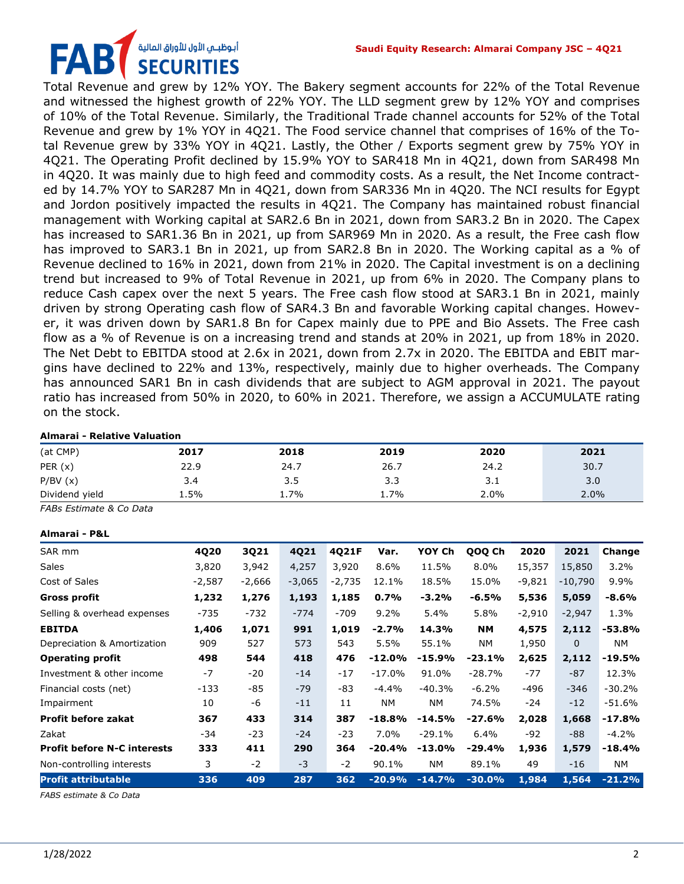# أبوظبــمي الأول للأوراق المالية **SECURITIES**

Total Revenue and grew by 12% YOY. The Bakery segment accounts for 22% of the Total Revenue and witnessed the highest growth of 22% YOY. The LLD segment grew by 12% YOY and comprises of 10% of the Total Revenue. Similarly, the Traditional Trade channel accounts for 52% of the Total Revenue and grew by 1% YOY in 4Q21. The Food service channel that comprises of 16% of the Total Revenue grew by 33% YOY in 4Q21. Lastly, the Other / Exports segment grew by 75% YOY in 4Q21. The Operating Profit declined by 15.9% YOY to SAR418 Mn in 4Q21, down from SAR498 Mn in 4Q20. It was mainly due to high feed and commodity costs. As a result, the Net Income contracted by 14.7% YOY to SAR287 Mn in 4Q21, down from SAR336 Mn in 4Q20. The NCI results for Egypt and Jordon positively impacted the results in 4Q21. The Company has maintained robust financial management with Working capital at SAR2.6 Bn in 2021, down from SAR3.2 Bn in 2020. The Capex has increased to SAR1.36 Bn in 2021, up from SAR969 Mn in 2020. As a result, the Free cash flow has improved to SAR3.1 Bn in 2021, up from SAR2.8 Bn in 2020. The Working capital as a % of Revenue declined to 16% in 2021, down from 21% in 2020. The Capital investment is on a declining trend but increased to 9% of Total Revenue in 2021, up from 6% in 2020. The Company plans to reduce Cash capex over the next 5 years. The Free cash flow stood at SAR3.1 Bn in 2021, mainly driven by strong Operating cash flow of SAR4.3 Bn and favorable Working capital changes. However, it was driven down by SAR1.8 Bn for Capex mainly due to PPE and Bio Assets. The Free cash flow as a % of Revenue is on a increasing trend and stands at 20% in 2021, up from 18% in 2020. The Net Debt to EBITDA stood at 2.6x in 2021, down from 2.7x in 2020. The EBITDA and EBIT margins have declined to 22% and 13%, respectively, mainly due to higher overheads. The Company has announced SAR1 Bn in cash dividends that are subject to AGM approval in 2021. The payout ratio has increased from 50% in 2020, to 60% in 2021. Therefore, we assign a ACCUMULATE rating on the stock.

#### **Almarai - Relative Valuation**

| (at CMP)       | 2017    | 2018 | 2019 | 2020 | 2021 |
|----------------|---------|------|------|------|------|
| PER $(x)$      | 22.9    | 24.7 | 26.7 | 24.2 | 30.7 |
| P/BV(x)        | 3.4     | 3.5  | 3.3  | 3.1  | 3.0  |
| Dividend yield | $1.5\%$ | 1.7% | 1.7% | 2.0% | 2.0% |

*FABs Estimate & Co Data*

| Almarai - P&L                      |          |          |          |          |           |           |           |          |              |          |
|------------------------------------|----------|----------|----------|----------|-----------|-----------|-----------|----------|--------------|----------|
| SAR mm                             | 4Q20     | 3Q21     | 4Q21     | 4Q21F    | Var.      | YOY Ch    | QOQ Ch    | 2020     | 2021         | Change   |
| <b>Sales</b>                       | 3,820    | 3,942    | 4,257    | 3,920    | 8.6%      | 11.5%     | 8.0%      | 15,357   | 15,850       | 3.2%     |
| Cost of Sales                      | $-2,587$ | $-2,666$ | $-3,065$ | $-2,735$ | 12.1%     | 18.5%     | 15.0%     | $-9,821$ | $-10,790$    | $9.9\%$  |
| <b>Gross profit</b>                | 1,232    | 1,276    | 1,193    | 1,185    | 0.7%      | -3.2%     | -6.5%     | 5,536    | 5,059        | $-8.6%$  |
| Selling & overhead expenses        | -735     | $-732$   | $-774$   | $-709$   | $9.2\%$   | 5.4%      | 5.8%      | $-2,910$ | $-2,947$     | 1.3%     |
| <b>EBITDA</b>                      | 1,406    | 1,071    | 991      | 1,019    | $-2.7%$   | 14.3%     | <b>NM</b> | 4,575    | 2,112        | $-53.8%$ |
| Depreciation & Amortization        | 909      | 527      | 573      | 543      | 5.5%      | 55.1%     | NΜ        | 1,950    | $\mathbf{0}$ | NM.      |
| <b>Operating profit</b>            | 498      | 544      | 418      | 476      | $-12.0%$  | $-15.9%$  | $-23.1%$  | 2,625    | 2,112        | $-19.5%$ |
| Investment & other income          | $-7$     | $-20$    | $-14$    | $-17$    | $-17.0\%$ | 91.0%     | $-28.7%$  | $-77$    | $-87$        | 12.3%    |
| Financial costs (net)              | $-133$   | -85      | $-79$    | -83      | $-4.4%$   | $-40.3%$  | $-6.2%$   | -496     | $-346$       | $-30.2%$ |
| Impairment                         | 10       | -6       | $-11$    | 11       | NΜ        | NΜ        | 74.5%     | -24      | $-12$        | $-51.6%$ |
| <b>Profit before zakat</b>         | 367      | 433      | 314      | 387      | $-18.8%$  | $-14.5%$  | $-27.6%$  | 2,028    | 1,668        | $-17.8%$ |
| Zakat                              | -34      | $-23$    | $-24$    | $-23$    | 7.0%      | $-29.1%$  | 6.4%      | -92      | -88          | $-4.2%$  |
| <b>Profit before N-C interests</b> | 333      | 411      | 290      | 364      | $-20.4%$  | $-13.0\%$ | -29.4%    | 1,936    | 1,579        | $-18.4%$ |
| Non-controlling interests          | 3        | $-2$     | $-3$     | $-2$     | 90.1%     | <b>NM</b> | 89.1%     | 49       | $-16$        | NΜ       |
| <b>Profit attributable</b>         | 336      | 409      | 287      | 362      | $-20.9%$  | $-14.7%$  | $-30.0%$  | 1,984    | 1,564        | $-21.2%$ |

*FABS estimate & Co Data*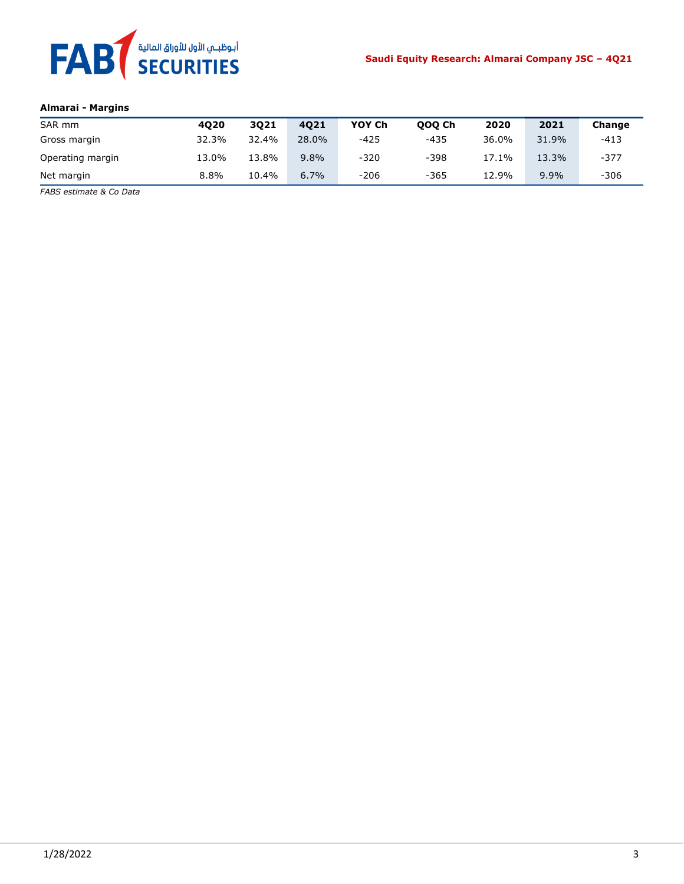

#### **Almarai - Margins**

| SAR mm           | 4020  | 3021  | 4021  | YOY Ch | 000 Ch | 2020  | 2021    | Change |
|------------------|-------|-------|-------|--------|--------|-------|---------|--------|
| Gross margin     | 32.3% | 32.4% | 28.0% | -425   | $-435$ | 36.0% | 31.9%   | $-413$ |
| Operating margin | 13.0% | 13.8% | 9.8%  | $-320$ | $-398$ | 17.1% | 13.3%   | $-377$ |
| Net margin       | 8.8%  | 10.4% | 6.7%  | $-206$ | $-365$ | 12.9% | $9.9\%$ | $-306$ |

*FABS estimate & Co Data*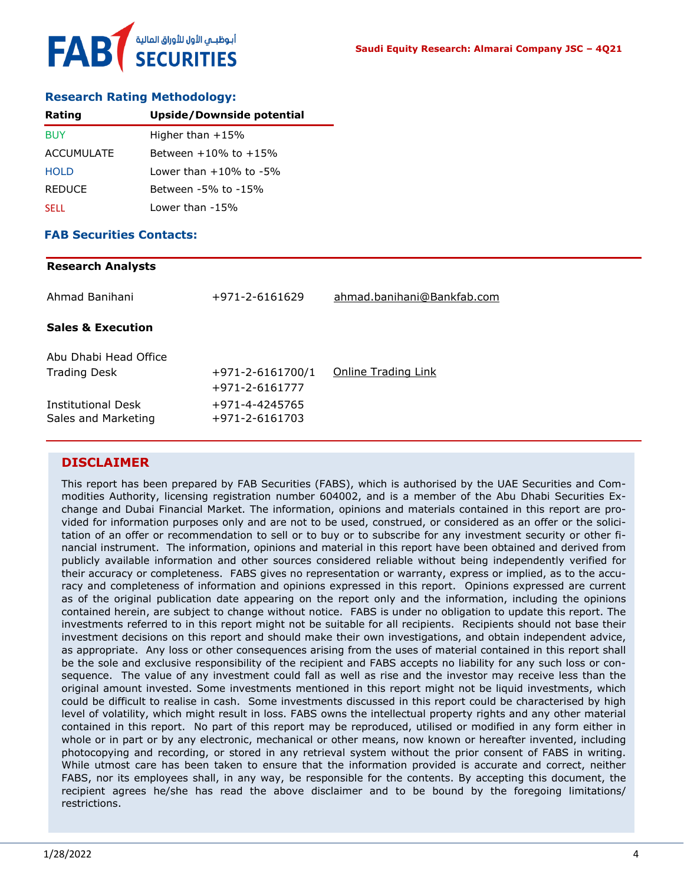

#### **Research Rating Methodology:**

| Rating            | Upside/Downside potential    |
|-------------------|------------------------------|
| <b>BUY</b>        | Higher than $+15%$           |
| <b>ACCUMULATE</b> | Between $+10\%$ to $+15\%$   |
| <b>HOLD</b>       | Lower than $+10\%$ to $-5\%$ |
| <b>REDUCE</b>     | Between -5% to -15%          |
| <b>SELL</b>       | Lower than -15%              |

#### **FAB Securities Contacts:**

## **Research Analysts** Ahmad Banihani +971-2-6161629 [ahmad.banihani@Bankfab.com](mailto:ahmad.banihani@Bankfab.com) **Sales & Execution** Abu Dhabi Head Office Trading Desk  $+971-2-6161700/1$  [Online Trading Link](http://www.nbad.com/countries/en-ae/Brokerage/WhatWeOffer/Pages/OnlineTrading.aspx) +971-2-6161777 Institutional Desk +971-4-4245765 Sales and Marketing +971-2-6161703

#### **DISCLAIMER**

This report has been prepared by FAB Securities (FABS), which is authorised by the UAE Securities and Commodities Authority, licensing registration number 604002, and is a member of the Abu Dhabi Securities Exchange and Dubai Financial Market. The information, opinions and materials contained in this report are provided for information purposes only and are not to be used, construed, or considered as an offer or the solicitation of an offer or recommendation to sell or to buy or to subscribe for any investment security or other financial instrument. The information, opinions and material in this report have been obtained and derived from publicly available information and other sources considered reliable without being independently verified for their accuracy or completeness. FABS gives no representation or warranty, express or implied, as to the accuracy and completeness of information and opinions expressed in this report. Opinions expressed are current as of the original publication date appearing on the report only and the information, including the opinions contained herein, are subject to change without notice. FABS is under no obligation to update this report. The investments referred to in this report might not be suitable for all recipients. Recipients should not base their investment decisions on this report and should make their own investigations, and obtain independent advice, as appropriate. Any loss or other consequences arising from the uses of material contained in this report shall be the sole and exclusive responsibility of the recipient and FABS accepts no liability for any such loss or consequence. The value of any investment could fall as well as rise and the investor may receive less than the original amount invested. Some investments mentioned in this report might not be liquid investments, which could be difficult to realise in cash. Some investments discussed in this report could be characterised by high level of volatility, which might result in loss. FABS owns the intellectual property rights and any other material contained in this report. No part of this report may be reproduced, utilised or modified in any form either in whole or in part or by any electronic, mechanical or other means, now known or hereafter invented, including photocopying and recording, or stored in any retrieval system without the prior consent of FABS in writing. While utmost care has been taken to ensure that the information provided is accurate and correct, neither FABS, nor its employees shall, in any way, be responsible for the contents. By accepting this document, the recipient agrees he/she has read the above disclaimer and to be bound by the foregoing limitations/ restrictions.